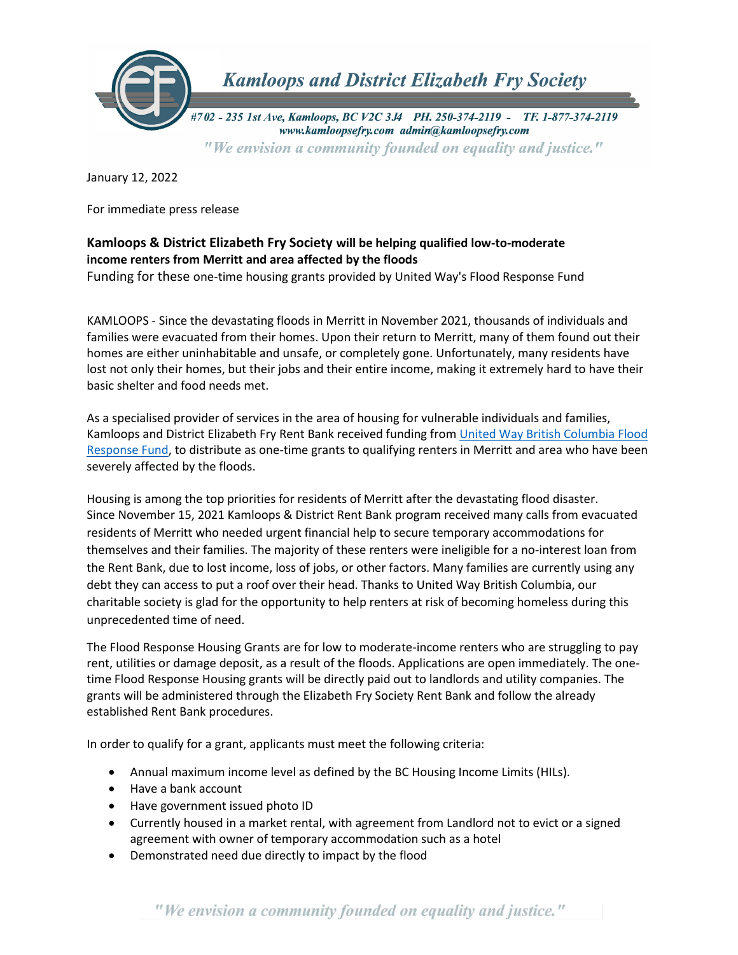

January 12, 2022

For immediate press release

## **Kamloops & District Elizabeth Fry Society will be helping qualified low-to-moderate income renters from Merritt and area affected by the floods**

Funding for these one-time housing grants provided by United Way's Flood Response Fund

KAMLOOPS - Since the devastating floods in Merritt in November 2021, thousands of individuals and families were evacuated from their homes. Upon their return to Merritt, many of them found out their homes are either uninhabitable and unsafe, or completely gone. Unfortunately, many residents have lost not only their homes, but their jobs and their entire income, making it extremely hard to have their basic shelter and food needs met.

As a specialised provider of services in the area of housing for vulnerable individuals and families, Kamloops and District Elizabeth Fry Rent Bank received funding from [United Way British Columbia Flood](https://uwbc.ca/flood/)  [Response Fund,](https://uwbc.ca/flood/) to distribute as one-time grants to qualifying renters in Merritt and area who have been severely affected by the floods.

Housing is among the top priorities for residents of Merritt after the devastating flood disaster. Since November 15, 2021 Kamloops & District Rent Bank program received many calls from evacuated residents of Merritt who needed urgent financial help to secure temporary accommodations for themselves and their families. The majority of these renters were ineligible for a no-interest loan from the Rent Bank, due to lost income, loss of jobs, or other factors. Many families are currently using any debt they can access to put a roof over their head. Thanks to United Way British Columbia, our charitable society is glad for the opportunity to help renters at risk of becoming homeless during this unprecedented time of need.

The Flood Response Housing Grants are for low to moderate-income renters who are struggling to pay rent, utilities or damage deposit, as a result of the floods. Applications are open immediately. The onetime Flood Response Housing grants will be directly paid out to landlords and utility companies. The grants will be administered through the Elizabeth Fry Society Rent Bank and follow the already established Rent Bank procedures.

In order to qualify for a grant, applicants must meet the following criteria:

- Annual maximum income level as defined by the BC Housing Income Limits (HILs).
- Have a bank account
- Have government issued photo ID
- Currently housed in a market rental, with agreement from Landlord not to evict or a signed agreement with owner of temporary accommodation such as a hotel
- Demonstrated need due directly to impact by the flood